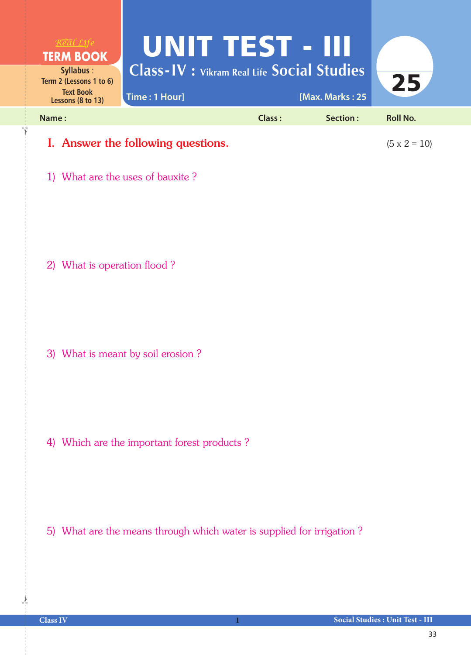

1) What are the uses of bauxite ?

2) What is operation flood ?

3) What is meant by soil erosion ?

4) Which are the important forest products ?

5) What are the means through which water is supplied for irrigation ?

 $\frac{1}{2}$